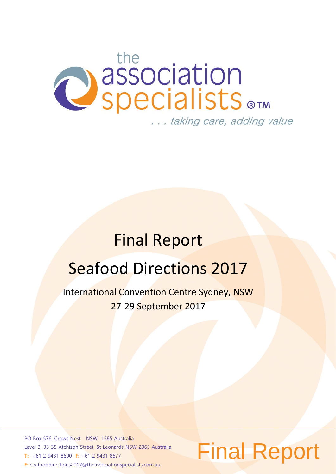# **CONSECTED** ... taking care, adding value

## Final Report

## Seafood Directions 2017

International Convention Centre Sydney, NSW 27-29 September 2017

PO Box 576, Crows Nest NSW 1585 Australia Level 3, 33-35 Atchison Street, St Leonards NSW 2065 Australia **T:** +61 2 9431 8600 **F:** +61 2 9431 8677 **E:** seafooddirections2017@theassociationspecialists.com.au

## Final Report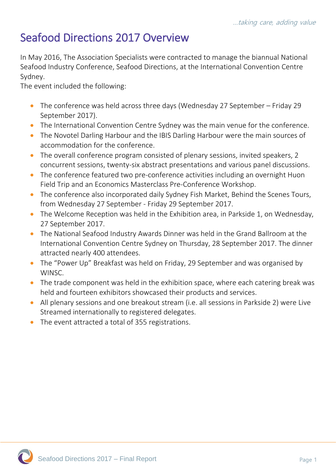## Seafood Directions 2017 Overview

In May 2016, The Association Specialists were contracted to manage the biannual National Seafood Industry Conference, Seafood Directions, at the International Convention Centre Sydney.

The event included the following:

- The conference was held across three days (Wednesday 27 September Friday 29 September 2017).
- The International Convention Centre Sydney was the main venue for the conference.
- The Novotel Darling Harbour and the IBIS Darling Harbour were the main sources of accommodation for the conference.
- The overall conference program consisted of plenary sessions, invited speakers, 2 concurrent sessions, twenty-six abstract presentations and various panel discussions.
- The conference featured two pre-conference activities including an overnight Huon Field Trip and an Economics Masterclass Pre-Conference Workshop.
- The conference also incorporated daily Sydney Fish Market, Behind the Scenes Tours, from Wednesday 27 September - Friday 29 September 2017.
- The Welcome Reception was held in the Exhibition area, in Parkside 1, on Wednesday, 27 September 2017.
- The National Seafood Industry Awards Dinner was held in the Grand Ballroom at the International Convention Centre Sydney on Thursday, 28 September 2017. The dinner attracted nearly 400 attendees.
- The "Power Up" Breakfast was held on Friday, 29 September and was organised by WINSC.
- The trade component was held in the exhibition space, where each catering break was held and fourteen exhibitors showcased their products and services.
- All plenary sessions and one breakout stream (i.e. all sessions in Parkside 2) were Live Streamed internationally to registered delegates.
- The event attracted a total of 355 registrations.

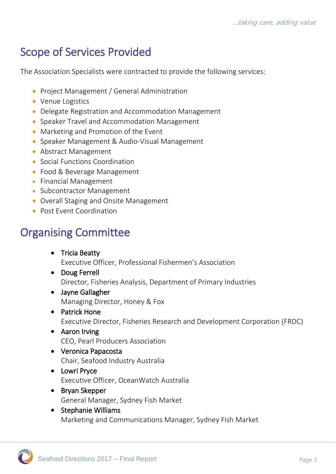## Scope of Services Provided

The Association Specialists were contracted to provide the following services:

- Project Management / General Administration
- Venue Logistics
- Delegate Registration and Accommodation Management
- Speaker Travel and Accommodation Management
- Marketing and Promotion of the Event
- Speaker Management & Audio-Visual Management
- Abstract Management
- Social Functions Coordination
- Food & Beverage Management
- Financial Management
- Subcontractor Management
- Overall Staging and Onsite Management
- Post Event Coordination

## Organising Committee

- Tricia Beatty Executive Officer, Professional Fishermen's Association
- Doug Ferrell Director, Fisheries Analysis, Department of Primary Industries
- Jayne Gallagher Managing Director, Honey & Fox
- Patrick Hone Executive Director, Fisheries Research and Development Corporation (FRDC)
- Aaron Irving CEO, Pearl Producers Association
- Veronica Papacosta Chair, Seafood Industry Australia
- Lowri Pryce Executive Officer, OceanWatch Australia
- Bryan Skepper General Manager, Sydney Fish Market
- Stephanie Williams Marketing and Communications Manager, Sydney Fish Market

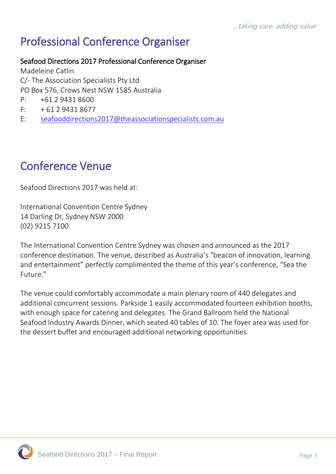## Professional Conference Organiser

Seafood Directions 2017 Professional Conference Organiser

Madeleine Catlin C/- The Association Specialists Pty Ltd PO Box 576, Crows Nest NSW 1585 Australia

- P: +61 2 9431 8600
- $F: + 61 2 9431 8677$
- E: [seafooddirections2017@theassociationspecialists.com.au](mailto:seafooddirections2017@theassociationspecialists.com.au)

## Conference Venue

Seafood Directions 2017 was held at:

International Convention Centre Sydney 14 Darling Dr, Sydney NSW 2000 (02) 9215 7100

The International Convention Centre Sydney was chosen and announced as the 2017 conference destination. The venue, described as Australia's "beacon of innovation, learning and entertainment" perfectly complimented the theme of this year's conference, "Sea the Future."

The venue could comfortably accommodate a main plenary room of 440 delegates and additional concurrent sessions. Parkside 1 easily accommodated fourteen exhibition booths, with enough space for catering and delegates. The Grand Ballroom held the National Seafood Industry Awards Dinner, which seated 40 tables of 10. The foyer area was used for the dessert buffet and encouraged additional networking opportunities.

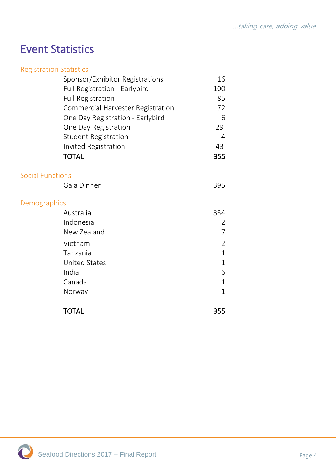## Event Statistics

| <b>Registration Statistics</b> |                                   |                |
|--------------------------------|-----------------------------------|----------------|
|                                | Sponsor/Exhibitor Registrations   | 16             |
|                                | Full Registration - Earlybird     | 100            |
|                                | <b>Full Registration</b>          | 85             |
|                                | Commercial Harvester Registration | 72             |
|                                | One Day Registration - Earlybird  | 6              |
|                                | One Day Registration              | 29             |
|                                | <b>Student Registration</b>       | 4              |
|                                | Invited Registration              | 43             |
| <b>TOTAL</b>                   |                                   | 355            |
| <b>Social Functions</b>        |                                   |                |
|                                | Gala Dinner                       | 395            |
| Demographics                   |                                   |                |
| Australia                      |                                   | 334            |
| Indonesia                      |                                   | 2              |
|                                | New Zealand                       | 7              |
| Vietnam                        |                                   | $\overline{2}$ |
| Tanzania                       |                                   | $\overline{1}$ |
|                                | <b>United States</b>              | $\mathbf{1}$   |
| India                          |                                   | 6              |
| Canada                         |                                   | $\mathbf{1}$   |
| Norway                         |                                   | $\mathbf{1}$   |
| <b>TOTAL</b>                   |                                   | 355            |
|                                |                                   |                |

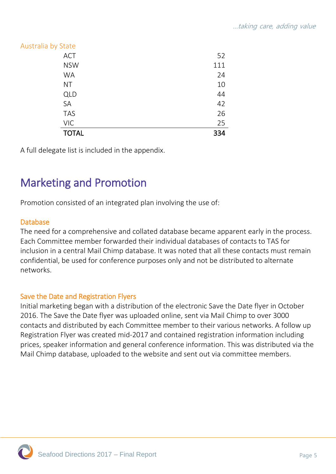| Australia by State |     |
|--------------------|-----|
| <b>ACT</b>         | 52  |
| <b>NSW</b>         | 111 |
| <b>WA</b>          | 24  |
| <b>NT</b>          | 10  |
| <b>QLD</b>         | 44  |
| SA                 | 42  |
| <b>TAS</b>         | 26  |
| <b>VIC</b>         | 25  |
| <b>TOTAL</b>       | 334 |

A full delegate list is included in the appendix.

## Marketing and Promotion

Promotion consisted of an integrated plan involving the use of:

#### Database

The need for a comprehensive and collated database became apparent early in the process. Each Committee member forwarded their individual databases of contacts to TAS for inclusion in a central Mail Chimp database. It was noted that all these contacts must remain confidential, be used for conference purposes only and not be distributed to alternate networks.

#### Save the Date and Registration Flyers

Initial marketing began with a distribution of the electronic Save the Date flyer in October 2016. The Save the Date flyer was uploaded online, sent via Mail Chimp to over 3000 contacts and distributed by each Committee member to their various networks. A follow up Registration Flyer was created mid-2017 and contained registration information including prices, speaker information and general conference information. This was distributed via the Mail Chimp database, uploaded to the website and sent out via committee members.

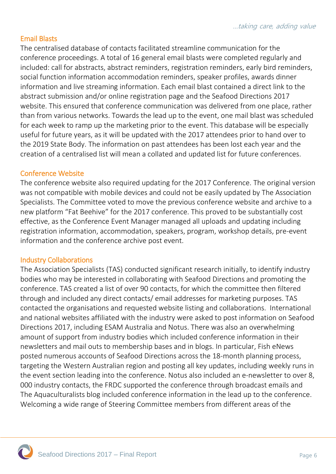#### Email Blasts

The centralised database of contacts facilitated streamline communication for the conference proceedings. A total of 16 general email blasts were completed regularly and included: call for abstracts, abstract reminders, registration reminders, early bird reminders, social function information accommodation reminders, speaker profiles, awards dinner information and live streaming information. Each email blast contained a direct link to the abstract submission and/or online registration page and the Seafood Directions 2017 website. This ensured that conference communication was delivered from one place, rather than from various networks. Towards the lead up to the event, one mail blast was scheduled for each week to ramp up the marketing prior to the event. This database will be especially useful for future years, as it will be updated with the 2017 attendees prior to hand over to the 2019 State Body. The information on past attendees has been lost each year and the creation of a centralised list will mean a collated and updated list for future conferences.

#### Conference Website

The conference website also required updating for the 2017 Conference. The original version was not compatible with mobile devices and could not be easily updated by The Association Specialists. The Committee voted to move the previous conference website and archive to a new platform "Fat Beehive" for the 2017 conference. This proved to be substantially cost effective, as the Conference Event Manager managed all uploads and updating including registration information, accommodation, speakers, program, workshop details, pre-event information and the conference archive post event.

#### Industry Collaborations

The Association Specialists (TAS) conducted significant research initially, to identify industry bodies who may be interested in collaborating with Seafood Directions and promoting the conference. TAS created a list of over 90 contacts, for which the committee then filtered through and included any direct contacts/ email addresses for marketing purposes. TAS contacted the organisations and requested website listing and collaborations. International and national websites affiliated with the industry were asked to post information on Seafood Directions 2017, including ESAM Australia and Notus. There was also an overwhelming amount of support from industry bodies which included conference information in their newsletters and mail outs to membership bases and in blogs. In particular, Fish eNews posted numerous accounts of Seafood Directions across the 18-month planning process, targeting the Western Australian region and posting all key updates, including weekly runs in the event section leading into the conference. Notus also included an e-newsletter to over 8, 000 industry contacts, the FRDC supported the conference through broadcast emails and The Aquaculturalists blog included conference information in the lead up to the conference. Welcoming a wide range of Steering Committee members from different areas of the

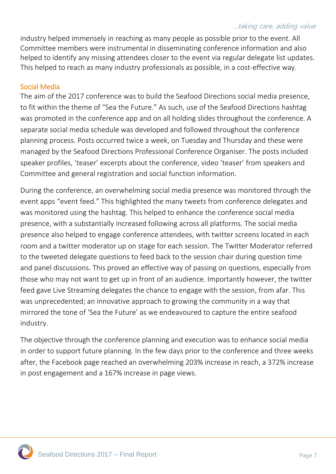#### …taking care, adding value

industry helped immensely in reaching as many people as possible prior to the event. All Committee members were instrumental in disseminating conference information and also helped to identify any missing attendees closer to the event via regular delegate list updates. This helped to reach as many industry professionals as possible, in a cost-effective way.

#### Social Media

The aim of the 2017 conference was to build the Seafood Directions social media presence, to fit within the theme of "Sea the Future." As such, use of the Seafood Directions hashtag was promoted in the conference app and on all holding slides throughout the conference. A separate social media schedule was developed and followed throughout the conference planning process. Posts occurred twice a week, on Tuesday and Thursday and these were managed by the Seafood Directions Professional Conference Organiser. The posts included speaker profiles, 'teaser' excerpts about the conference, video 'teaser' from speakers and Committee and general registration and social function information.

During the conference, an overwhelming social media presence was monitored through the event apps "event feed." This highlighted the many tweets from conference delegates and was monitored using the hashtag. This helped to enhance the conference social media presence, with a substantially increased following across all platforms. The social media presence also helped to engage conference attendees, with twitter screens located in each room and a twitter moderator up on stage for each session. The Twitter Moderator referred to the tweeted delegate questions to feed back to the session chair during question time and panel discussions. This proved an effective way of passing on questions, especially from those who may not want to get up in front of an audience. Importantly however, the twitter feed gave Live Streaming delegates the chance to engage with the session, from afar. This was unprecedented; an innovative approach to growing the community in a way that mirrored the tone of 'Sea the Future' as we endeavoured to capture the entire seafood industry.

The objective through the conference planning and execution was to enhance social media in order to support future planning. In the few days prior to the conference and three weeks after, the Facebook page reached an overwhelming 203% increase in reach, a 372% increase in post engagement and a 167% increase in page views.

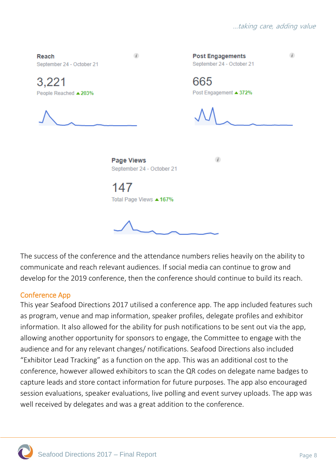

The success of the conference and the attendance numbers relies heavily on the ability to communicate and reach relevant audiences. If social media can continue to grow and develop for the 2019 conference, then the conference should continue to build its reach.

#### Conference App

This year Seafood Directions 2017 utilised a conference app. The app included features such as program, venue and map information, speaker profiles, delegate profiles and exhibitor information. It also allowed for the ability for push notifications to be sent out via the app, allowing another opportunity for sponsors to engage, the Committee to engage with the audience and for any relevant changes/ notifications. Seafood Directions also included "Exhibitor Lead Tracking" as a function on the app. This was an additional cost to the conference, however allowed exhibitors to scan the QR codes on delegate name badges to capture leads and store contact information for future purposes. The app also encouraged session evaluations, speaker evaluations, live polling and event survey uploads. The app was well received by delegates and was a great addition to the conference.

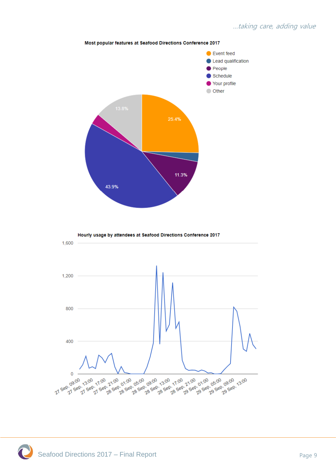

#### Most popular features at Seafood Directions Conference 2017

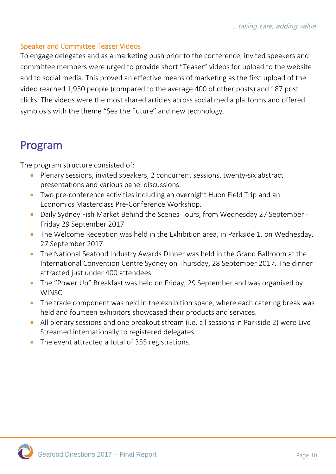#### Speaker and Committee Teaser Videos

To engage delegates and as a marketing push prior to the conference, invited speakers and committee members were urged to provide short "Teaser" videos for upload to the website and to social media. This proved an effective means of marketing as the first upload of the video reached 1,930 people (compared to the average 400 of other posts) and 187 post clicks. The videos were the most shared articles across social media platforms and offered symbiosis with the theme "Sea the Future" and new technology.

### Program

The program structure consisted of:

- Plenary sessions, invited speakers, 2 concurrent sessions, twenty-six abstract presentations and various panel discussions.
- Two pre-conference activities including an overnight Huon Field Trip and an Economics Masterclass Pre-Conference Workshop.
- Daily Sydney Fish Market Behind the Scenes Tours, from Wednesday 27 September Friday 29 September 2017.
- The Welcome Reception was held in the Exhibition area, in Parkside 1, on Wednesday, 27 September 2017.
- The National Seafood Industry Awards Dinner was held in the Grand Ballroom at the International Convention Centre Sydney on Thursday, 28 September 2017. The dinner attracted just under 400 attendees.
- The "Power Up" Breakfast was held on Friday, 29 September and was organised by WINSC.
- The trade component was held in the exhibition space, where each catering break was held and fourteen exhibitors showcased their products and services.
- All plenary sessions and one breakout stream (i.e. all sessions in Parkside 2) were Live Streamed internationally to registered delegates.
- The event attracted a total of 355 registrations.

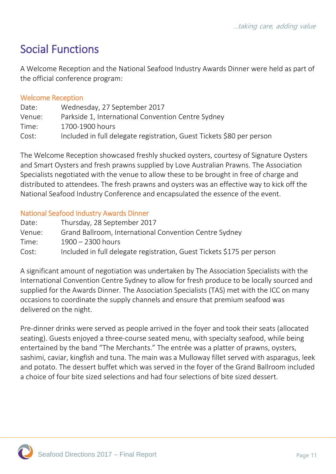## Social Functions

A Welcome Reception and the National Seafood Industry Awards Dinner were held as part of the official conference program:

#### Welcome Reception

| Date:  | Wednesday, 27 September 2017                                          |
|--------|-----------------------------------------------------------------------|
| Venue: | Parkside 1, International Convention Centre Sydney                    |
| Time:  | 1700-1900 hours                                                       |
| Cost:  | Included in full delegate registration, Guest Tickets \$80 per person |

The Welcome Reception showcased freshly shucked oysters, courtesy of Signature Oysters and Smart Oysters and fresh prawns supplied by Love Australian Prawns. The Association Specialists negotiated with the venue to allow these to be brought in free of charge and distributed to attendees. The fresh prawns and oysters was an effective way to kick off the National Seafood Industry Conference and encapsulated the essence of the event.

#### National Seafood Industry Awards Dinner

| Date:  | Thursday, 28 September 2017                                            |
|--------|------------------------------------------------------------------------|
| Venue: | Grand Ballroom, International Convention Centre Sydney                 |
| Time:  | $1900 - 2300$ hours                                                    |
| Cost:  | Included in full delegate registration, Guest Tickets \$175 per person |

A significant amount of negotiation was undertaken by The Association Specialists with the International Convention Centre Sydney to allow for fresh produce to be locally sourced and supplied for the Awards Dinner. The Association Specialists (TAS) met with the ICC on many occasions to coordinate the supply channels and ensure that premium seafood was delivered on the night.

Pre-dinner drinks were served as people arrived in the foyer and took their seats (allocated seating). Guests enjoyed a three-course seated menu, with specialty seafood, while being entertained by the band "The Merchants." The entrée was a platter of prawns, oysters, sashimi, caviar, kingfish and tuna. The main was a Mulloway fillet served with asparagus, leek and potato. The dessert buffet which was served in the foyer of the Grand Ballroom included a choice of four bite sized selections and had four selections of bite sized dessert.

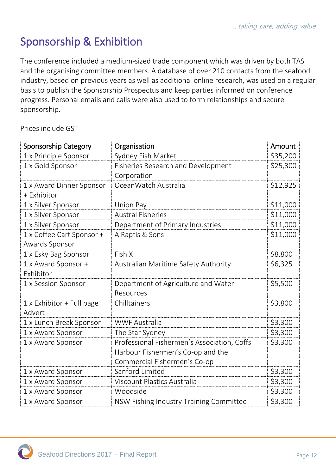## Sponsorship & Exhibition

The conference included a medium-sized trade component which was driven by both TAS and the organising committee members. A database of over 210 contacts from the seafood industry, based on previous years as well as additional online research, was used on a regular basis to publish the Sponsorship Prospectus and keep parties informed on conference progress. Personal emails and calls were also used to form relationships and secure sponsorship.

Prices include GST

| <b>Sponsorship Category</b>      | Organisation                                | Amount   |
|----------------------------------|---------------------------------------------|----------|
| 1 x Principle Sponsor            | Sydney Fish Market                          | \$35,200 |
| 1 x Gold Sponsor                 | <b>Fisheries Research and Development</b>   | \$25,300 |
|                                  | Corporation                                 |          |
| 1 x Award Dinner Sponsor         | OceanWatch Australia                        | \$12,925 |
| + Exhibitor                      |                                             |          |
| 1 x Silver Sponsor               | Union Pay                                   | \$11,000 |
| 1 x Silver Sponsor               | <b>Austral Fisheries</b>                    | \$11,000 |
| 1 x Silver Sponsor               | Department of Primary Industries            | \$11,000 |
| 1 x Coffee Cart Sponsor +        | A Raptis & Sons                             | \$11,000 |
| Awards Sponsor                   |                                             |          |
| 1 x Esky Bag Sponsor             | Fish X                                      | \$8,800  |
| 1 x Award Sponsor +              | Australian Maritime Safety Authority        | \$6,325  |
| Exhibitor                        |                                             |          |
| 1 x Session Sponsor              | Department of Agriculture and Water         | \$5,500  |
|                                  | Resources                                   |          |
| $1 \times$ Exhibitor + Full page | Chilltainers                                | \$3,800  |
| Advert                           |                                             |          |
| 1 x Lunch Break Sponsor          | <b>WWF Australia</b>                        | \$3,300  |
| 1 x Award Sponsor                | The Star Sydney                             | \$3,300  |
| 1 x Award Sponsor                | Professional Fishermen's Association, Coffs | \$3,300  |
|                                  | Harbour Fishermen's Co-op and the           |          |
|                                  | Commercial Fishermen's Co-op                |          |
| 1 x Award Sponsor                | Sanford Limited                             | \$3,300  |
| 1 x Award Sponsor                | Viscount Plastics Australia                 | \$3,300  |
| 1 x Award Sponsor                | Woodside                                    | \$3,300  |
| 1 x Award Sponsor                | NSW Fishing Industry Training Committee     | \$3,300  |

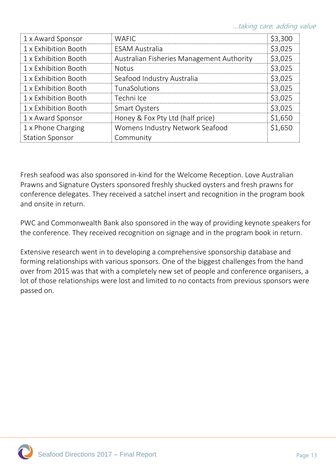| <b>WAFIC</b>                              | \$3,300 |
|-------------------------------------------|---------|
| <b>ESAM Australia</b>                     | \$3,025 |
| Australian Fisheries Management Authority | \$3,025 |
| <b>Notus</b>                              | \$3,025 |
| Seafood Industry Australia                | \$3,025 |
| TunaSolutions                             | \$3,025 |
| Techni Ice                                | \$3,025 |
| <b>Smart Oysters</b>                      | \$3,025 |
| Honey & Fox Pty Ltd (half price)          | \$1,650 |
| Womens Industry Network Seafood           | \$1,650 |
| Community                                 |         |
|                                           |         |

Fresh seafood was also sponsored in-kind for the Welcome Reception. Love Australian Prawns and Signature Oysters sponsored freshly shucked oysters and fresh prawns for conference delegates. They received a satchel insert and recognition in the program book and onsite in return.

PWC and Commonwealth Bank also sponsored in the way of providing keynote speakers for the conference. They received recognition on signage and in the program book in return.

Extensive research went in to developing a comprehensive sponsorship database and forming relationships with various sponsors. One of the biggest challenges from the hand over from 2015 was that with a completely new set of people and conference organisers, a lot of those relationships were lost and limited to no contacts from previous sponsors were passed on.

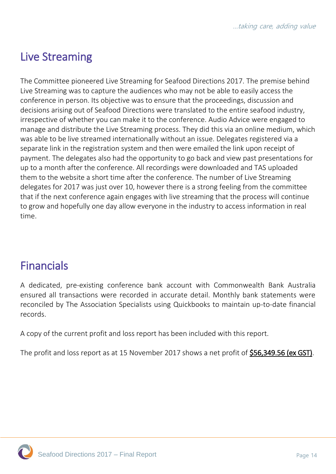## Live Streaming

The Committee pioneered Live Streaming for Seafood Directions 2017. The premise behind Live Streaming was to capture the audiences who may not be able to easily access the conference in person. Its objective was to ensure that the proceedings, discussion and decisions arising out of Seafood Directions were translated to the entire seafood industry, irrespective of whether you can make it to the conference. Audio Advice were engaged to manage and distribute the Live Streaming process. They did this via an online medium, which was able to be live streamed internationally without an issue. Delegates registered via a separate link in the registration system and then were emailed the link upon receipt of payment. The delegates also had the opportunity to go back and view past presentations for up to a month after the conference. All recordings were downloaded and TAS uploaded them to the website a short time after the conference. The number of Live Streaming delegates for 2017 was just over 10, however there is a strong feeling from the committee that if the next conference again engages with live streaming that the process will continue to grow and hopefully one day allow everyone in the industry to access information in real time.

## Financials

A dedicated, pre-existing conference bank account with Commonwealth Bank Australia ensured all transactions were recorded in accurate detail. Monthly bank statements were reconciled by The Association Specialists using Quickbooks to maintain up-to-date financial records.

A copy of the current profit and loss report has been included with this report.

The profit and loss report as at 15 November 2017 shows a net profit of \$56,349.56 (ex GST).

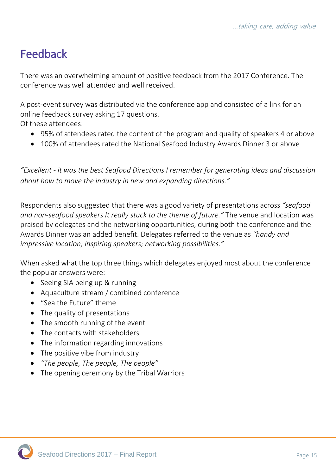## Feedback

There was an overwhelming amount of positive feedback from the 2017 Conference. The conference was well attended and well received.

A post-event survey was distributed via the conference app and consisted of a link for an online feedback survey asking 17 questions.

Of these attendees:

- 95% of attendees rated the content of the program and quality of speakers 4 or above
- 100% of attendees rated the National Seafood Industry Awards Dinner 3 or above

*"Excellent - it was the best Seafood Directions I remember for generating ideas and discussion about how to move the industry in new and expanding directions."*

Respondents also suggested that there was a good variety of presentations across *"seafood and non-seafood speakers It really stuck to the theme of future."* The venue and location was praised by delegates and the networking opportunities, during both the conference and the Awards Dinner was an added benefit. Delegates referred to the venue as *"handy and impressive location; inspiring speakers; networking possibilities."*

When asked what the top three things which delegates enjoyed most about the conference the popular answers were:

- Seeing SIA being up & running
- Aquaculture stream / combined conference
- "Sea the Future" theme
- The quality of presentations
- The smooth running of the event
- The contacts with stakeholders
- The information regarding innovations
- The positive vibe from industry
- *"The people, The people, The people"*
- The opening ceremony by the Tribal Warriors

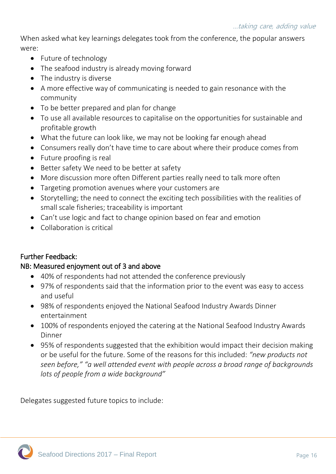When asked what key learnings delegates took from the conference, the popular answers were:

- Future of technology
- The seafood industry is already moving forward
- The industry is diverse
- A more effective way of communicating is needed to gain resonance with the community
- To be better prepared and plan for change
- To use all available resources to capitalise on the opportunities for sustainable and profitable growth
- What the future can look like, we may not be looking far enough ahead
- Consumers really don't have time to care about where their produce comes from
- Future proofing is real
- Better safety We need to be better at safety
- More discussion more often Different parties really need to talk more often
- Targeting promotion avenues where your customers are
- Storytelling; the need to connect the exciting tech possibilities with the realities of small scale fisheries; traceability is important
- Can't use logic and fact to change opinion based on fear and emotion
- Collaboration is critical

#### Further Feedback:

#### NB: Measured enjoyment out of 3 and above

- 40% of respondents had not attended the conference previously
- 97% of respondents said that the information prior to the event was easy to access and useful
- 98% of respondents enjoyed the National Seafood Industry Awards Dinner entertainment
- 100% of respondents enjoyed the catering at the National Seafood Industry Awards Dinner
- 95% of respondents suggested that the exhibition would impact their decision making or be useful for the future. Some of the reasons for this included: *"new products not seen before," "a well attended event with people across a broad range of backgrounds lots of people from a wide background"*

Delegates suggested future topics to include:

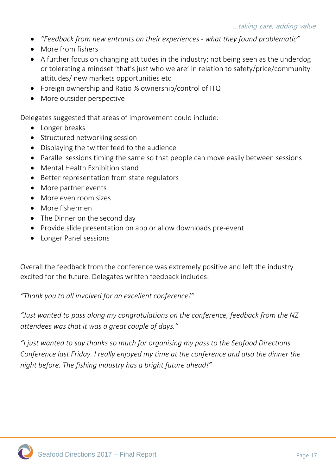- *"Feedback from new entrants on their experiences - what they found problematic"*
- More from fishers
- A further focus on changing attitudes in the industry; not being seen as the underdog or tolerating a mindset 'that's just who we are' in relation to safety/price/community attitudes/ new markets opportunities etc
- Foreign ownership and Ratio % ownership/control of ITQ
- More outsider perspective

Delegates suggested that areas of improvement could include:

- Longer breaks
- Structured networking session
- Displaying the twitter feed to the audience
- Parallel sessions timing the same so that people can move easily between sessions
- Mental Health Exhibition stand
- Better representation from state regulators
- More partner events
- More even room sizes
- More fishermen
- The Dinner on the second day
- Provide slide presentation on app or allow downloads pre-event
- Longer Panel sessions

Overall the feedback from the conference was extremely positive and left the industry excited for the future. Delegates written feedback includes:

*"Thank you to all involved for an excellent conference!"* 

*"Just wanted to pass along my congratulations on the conference, feedback from the NZ attendees was that it was a great couple of days."* 

*"I just wanted to say thanks so much for organising my pass to the Seafood Directions Conference last Friday. I really enjoyed my time at the conference and also the dinner the night before. The fishing industry has a bright future ahead!"*

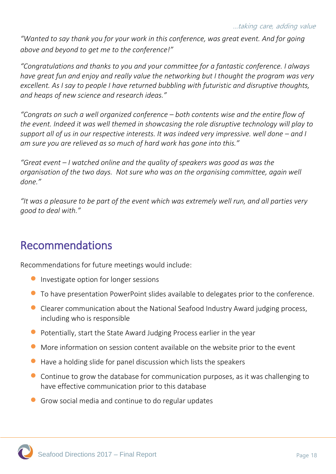*"Wanted to say thank you for your work in this conference, was great event. And for going above and beyond to get me to the conference!"*

*"Congratulations and thanks to you and your committee for a fantastic conference. I always have great fun and enjoy and really value the networking but I thought the program was very excellent. As I say to people I have returned bubbling with futuristic and disruptive thoughts, and heaps of new science and research ideas."*

*"Congrats on such a well organized conference – both contents wise and the entire flow of the event. Indeed it was well themed in showcasing the role disruptive technology will play to support all of us in our respective interests. It was indeed very impressive. well done – and I am sure you are relieved as so much of hard work has gone into this."*

*"Great event – I watched online and the quality of speakers was good as was the organisation of the two days. Not sure who was on the organising committee, again well done."*

*"It was a pleasure to be part of the event which was extremely well run, and all parties very good to deal with."*

## Recommendations

Recommendations for future meetings would include:

- **Investigate option for longer sessions**
- To have presentation PowerPoint slides available to delegates prior to the conference.
- Clearer communication about the National Seafood Industry Award judging process, including who is responsible
- Potentially, start the State Award Judging Process earlier in the year
- More information on session content available on the website prior to the event
- Have a holding slide for panel discussion which lists the speakers
- Continue to grow the database for communication purposes, as it was challenging to have effective communication prior to this database
- Grow social media and continue to do regular updates